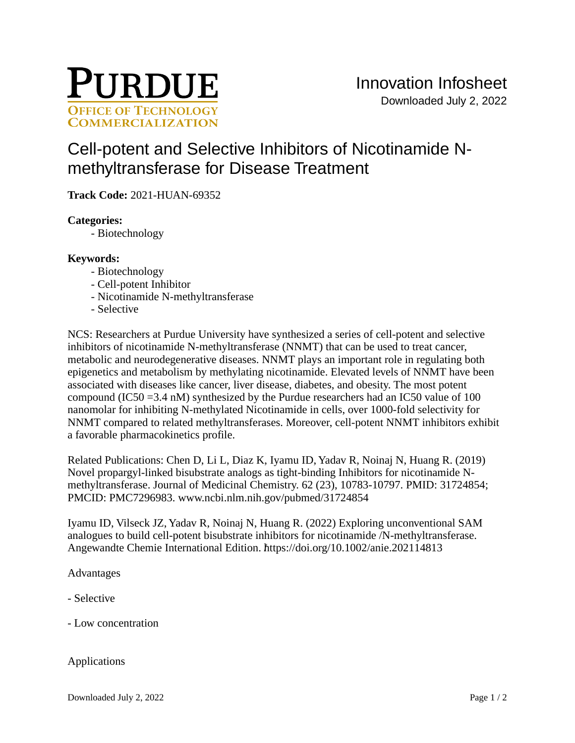

# [Cell-potent and Selective Inhibitors of Nicotinamide N](https://inventions.prf.org/innovation/7963)[methyltransferase for Disease Treatment](https://inventions.prf.org/innovation/7963)

**Track Code:** 2021-HUAN-69352

## **Categories:**

- Biotechnology

## **Keywords:**

- Biotechnology
- Cell-potent Inhibitor
- Nicotinamide N-methyltransferase
- Selective

NCS: Researchers at Purdue University have synthesized a series of cell-potent and selective inhibitors of nicotinamide N-methyltransferase (NNMT) that can be used to treat cancer, metabolic and neurodegenerative diseases. NNMT plays an important role in regulating both epigenetics and metabolism by methylating nicotinamide. Elevated levels of NNMT have been associated with diseases like cancer, liver disease, diabetes, and obesity. The most potent compound (IC50 =3.4 nM) synthesized by the Purdue researchers had an IC50 value of 100 nanomolar for inhibiting N-methylated Nicotinamide in cells, over 1000-fold selectivity for NNMT compared to related methyltransferases. Moreover, cell-potent NNMT inhibitors exhibit a favorable pharmacokinetics profile.

Related Publications: Chen D, Li L, Diaz K, Iyamu ID, Yadav R, Noinaj N, Huang R. (2019) Novel propargyl-linked bisubstrate analogs as tight-binding Inhibitors for nicotinamide Nmethyltransferase. Journal of Medicinal Chemistry. 62 (23), 10783-10797. PMID: 31724854; PMCID: PMC7296983. [www.ncbi.nlm.nih.gov/pubmed/31724854]( www.ncbi.nlm.nih.gov/pubmed/31724854)

Iyamu ID, Vilseck JZ, Yadav R, Noinaj N, Huang R. (2022) Exploring unconventional SAM analogues to build cell-potent bisubstrate inhibitors for nicotinamide /N-methyltransferase. Angewandte Chemie International Edition. https://doi.org/10.1002/anie.202114813

Advantages

- Selective

- Low concentration

## Applications